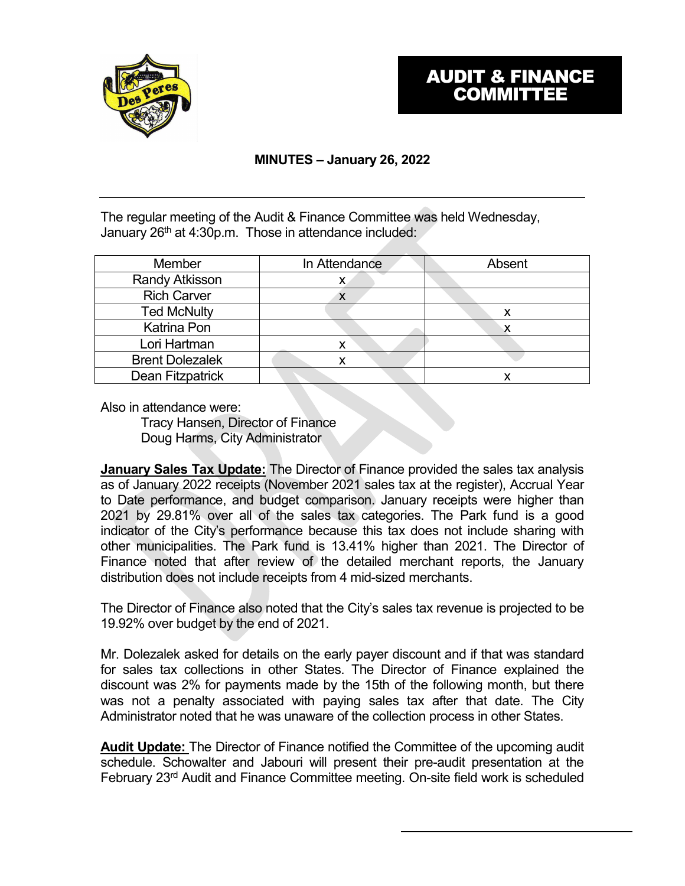

## **MINUTES – January 26, 2022**

The regular meeting of the Audit & Finance Committee was held Wednesday, January 26<sup>th</sup> at 4:30p.m. Those in attendance included:

| Member                 | In Attendance | Absent |
|------------------------|---------------|--------|
| <b>Randy Atkisson</b>  | х             |        |
| <b>Rich Carver</b>     | ⋏             |        |
| <b>Ted McNulty</b>     |               | х      |
| Katrina Pon            |               |        |
| Lori Hartman           | x             |        |
| <b>Brent Dolezalek</b> |               |        |
| Dean Fitzpatrick       |               |        |

Also in attendance were:

Tracy Hansen, Director of Finance Doug Harms, City Administrator

**January Sales Tax Update:** The Director of Finance provided the sales tax analysis as of January 2022 receipts (November 2021 sales tax at the register), Accrual Year to Date performance, and budget comparison. January receipts were higher than 2021 by 29.81% over all of the sales tax categories. The Park fund is a good indicator of the City's performance because this tax does not include sharing with other municipalities. The Park fund is 13.41% higher than 2021. The Director of Finance noted that after review of the detailed merchant reports, the January distribution does not include receipts from 4 mid-sized merchants.

The Director of Finance also noted that the City's sales tax revenue is projected to be 19.92% over budget by the end of 2021.

Mr. Dolezalek asked for details on the early payer discount and if that was standard for sales tax collections in other States. The Director of Finance explained the discount was 2% for payments made by the 15th of the following month, but there was not a penalty associated with paying sales tax after that date. The City Administrator noted that he was unaware of the collection process in other States.

**Audit Update:** The Director of Finance notified the Committee of the upcoming audit schedule. Schowalter and Jabouri will present their pre-audit presentation at the February 23rd Audit and Finance Committee meeting. On-site field work is scheduled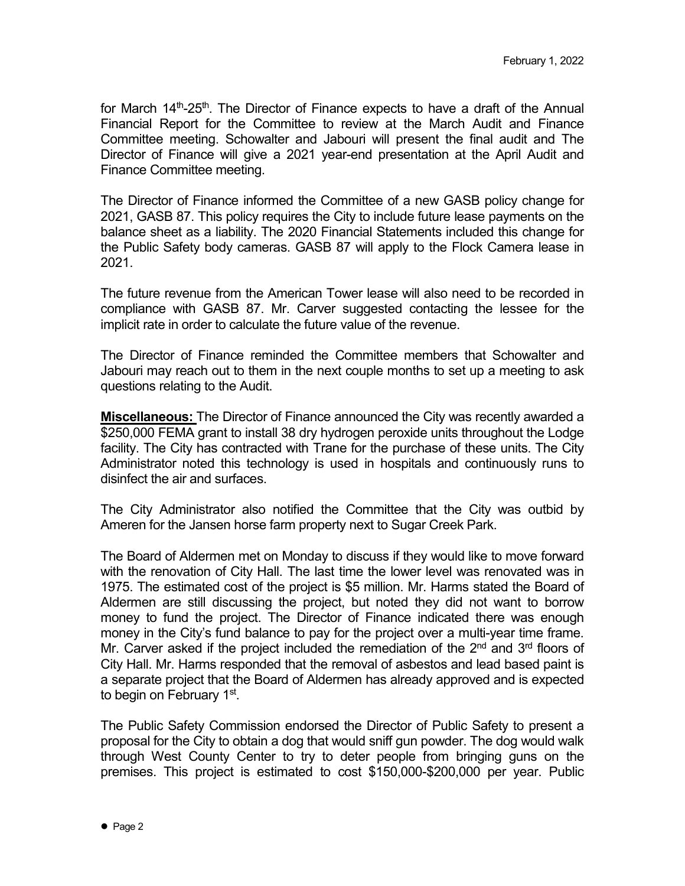for March  $14<sup>th</sup>$ -25<sup>th</sup>. The Director of Finance expects to have a draft of the Annual Financial Report for the Committee to review at the March Audit and Finance Committee meeting. Schowalter and Jabouri will present the final audit and The Director of Finance will give a 2021 year-end presentation at the April Audit and Finance Committee meeting.

The Director of Finance informed the Committee of a new GASB policy change for 2021, GASB 87. This policy requires the City to include future lease payments on the balance sheet as a liability. The 2020 Financial Statements included this change for the Public Safety body cameras. GASB 87 will apply to the Flock Camera lease in 2021.

The future revenue from the American Tower lease will also need to be recorded in compliance with GASB 87. Mr. Carver suggested contacting the lessee for the implicit rate in order to calculate the future value of the revenue.

The Director of Finance reminded the Committee members that Schowalter and Jabouri may reach out to them in the next couple months to set up a meeting to ask questions relating to the Audit.

**Miscellaneous:** The Director of Finance announced the City was recently awarded a \$250,000 FEMA grant to install 38 dry hydrogen peroxide units throughout the Lodge facility. The City has contracted with Trane for the purchase of these units. The City Administrator noted this technology is used in hospitals and continuously runs to disinfect the air and surfaces.

The City Administrator also notified the Committee that the City was outbid by Ameren for the Jansen horse farm property next to Sugar Creek Park.

The Board of Aldermen met on Monday to discuss if they would like to move forward with the renovation of City Hall. The last time the lower level was renovated was in 1975. The estimated cost of the project is \$5 million. Mr. Harms stated the Board of Aldermen are still discussing the project, but noted they did not want to borrow money to fund the project. The Director of Finance indicated there was enough money in the City's fund balance to pay for the project over a multi-year time frame. Mr. Carver asked if the project included the remediation of the  $2<sup>nd</sup>$  and  $3<sup>rd</sup>$  floors of City Hall. Mr. Harms responded that the removal of asbestos and lead based paint is a separate project that the Board of Aldermen has already approved and is expected to begin on February 1<sup>st</sup>.

The Public Safety Commission endorsed the Director of Public Safety to present a proposal for the City to obtain a dog that would sniff gun powder. The dog would walk through West County Center to try to deter people from bringing guns on the premises. This project is estimated to cost \$150,000-\$200,000 per year. Public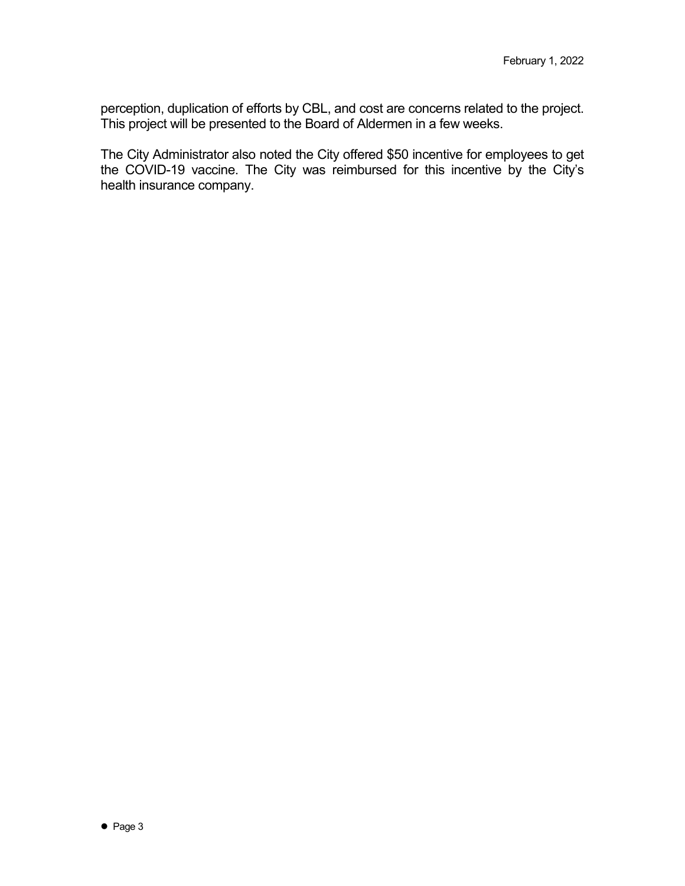perception, duplication of efforts by CBL, and cost are concerns related to the project. This project will be presented to the Board of Aldermen in a few weeks.

The City Administrator also noted the City offered \$50 incentive for employees to get the COVID-19 vaccine. The City was reimbursed for this incentive by the City's health insurance company.